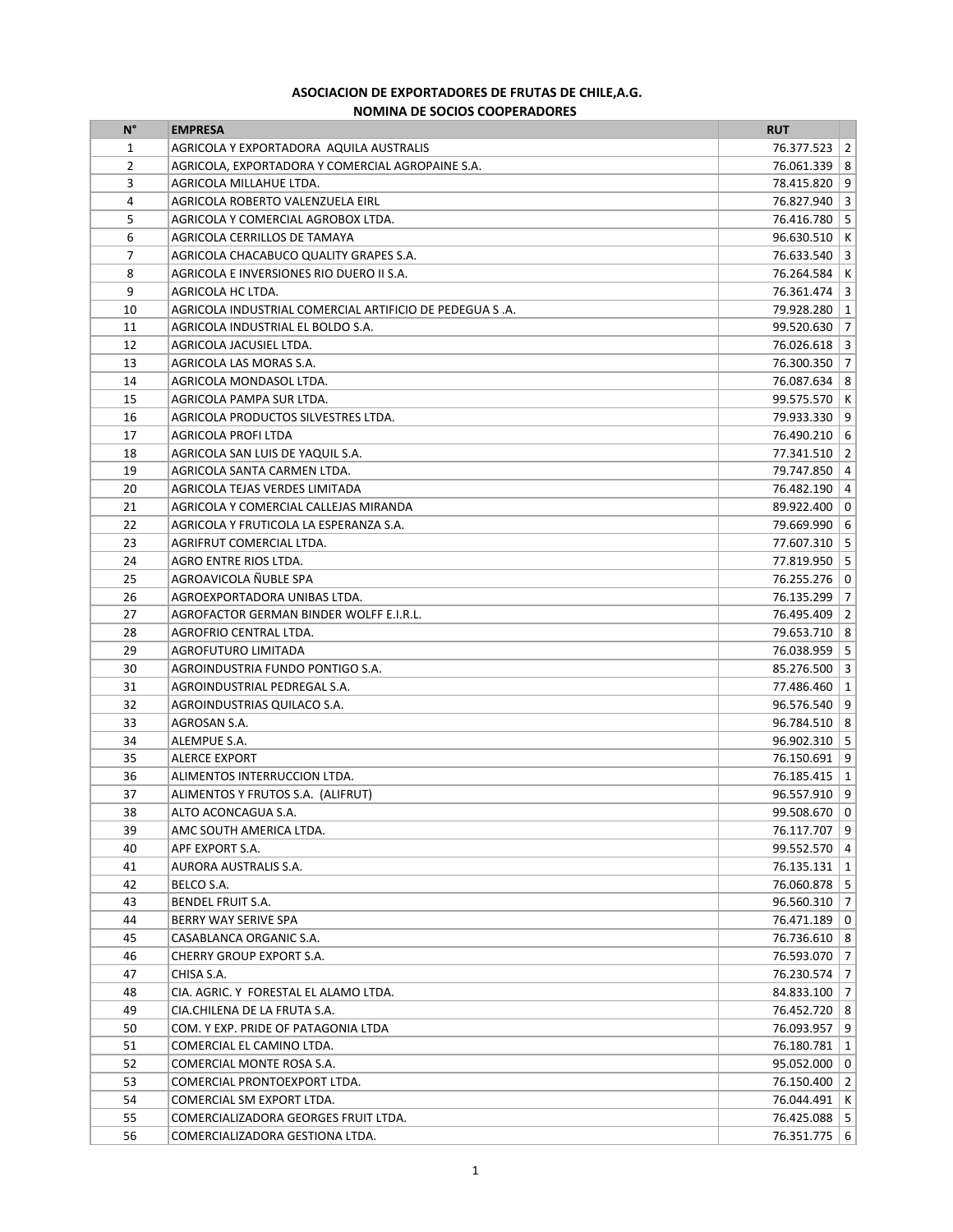## **ASOCIACION DE EXPORTADORES DE FRUTAS DE CHILE, A.G. NOMINA DE SOCIOS COOPERADORES**

| $N^{\circ}$    | <b>EMPRESA</b>                                          | <b>RUT</b>       |  |
|----------------|---------------------------------------------------------|------------------|--|
| 1              | AGRICOLA Y EXPORTADORA AQUILA AUSTRALIS                 | 76.377.523 2     |  |
| $\overline{2}$ | AGRICOLA, EXPORTADORA Y COMERCIAL AGROPAINE S.A.        | 76.061.339   8   |  |
| 3              | AGRICOLA MILLAHUE LTDA.                                 | 78.415.820   9   |  |
| 4              | AGRICOLA ROBERTO VALENZUELA EIRL                        | 76.827.940 3     |  |
| 5              | AGRICOLA Y COMERCIAL AGROBOX LTDA.                      | 76.416.780   5   |  |
| 6              | AGRICOLA CERRILLOS DE TAMAYA                            | $96.630.510$ K   |  |
| $\overline{7}$ | AGRICOLA CHACABUCO QUALITY GRAPES S.A.                  | 76.633.540 3     |  |
| 8              | AGRICOLA E INVERSIONES RIO DUERO II S.A.                | 76.264.584 K     |  |
| 9              | AGRICOLA HC LTDA.                                       | 76.361.474 3     |  |
| 10             | AGRICOLA INDUSTRIAL COMERCIAL ARTIFICIO DE PEDEGUA S.A. | 79.928.280   1   |  |
| 11             | AGRICOLA INDUSTRIAL EL BOLDO S.A.                       | 99.520.630 7     |  |
| 12             | AGRICOLA JACUSIEL LTDA.                                 | $76.026.618$ 3   |  |
| 13             | AGRICOLA LAS MORAS S.A.                                 | 76.300.350 7     |  |
| 14             | AGRICOLA MONDASOL LTDA.                                 | 76.087.634   8   |  |
| 15             | AGRICOLA PAMPA SUR LTDA.                                | 99.575.570 K     |  |
| 16             | AGRICOLA PRODUCTOS SILVESTRES LTDA.                     | 79.933.330   9   |  |
| 17             | AGRICOLA PROFI LTDA                                     | 76.490.210 6     |  |
| 18             | AGRICOLA SAN LUIS DE YAQUIL S.A.                        | 77.341.510   2   |  |
| 19             | AGRICOLA SANTA CARMEN LTDA.                             | 79.747.850 4     |  |
| 20             | AGRICOLA TEJAS VERDES LIMITADA                          | 76.482.190 4     |  |
| 21             | AGRICOLA Y COMERCIAL CALLEJAS MIRANDA                   | 89.922.400 0     |  |
| 22             | AGRICOLA Y FRUTICOLA LA ESPERANZA S.A.                  | 79.669.990 6     |  |
| 23             | AGRIFRUT COMERCIAL LTDA.                                | 77.607.310 5     |  |
| 24             | AGRO ENTRE RIOS LTDA.                                   | 77.819.950 5     |  |
| 25             | AGROAVICOLA ÑUBLE SPA                                   | 76.255.276 0     |  |
| 26             | AGROEXPORTADORA UNIBAS LTDA.                            | 76.135.299 7     |  |
| 27             | AGROFACTOR GERMAN BINDER WOLFF E.I.R.L.                 | 76.495.409   2   |  |
| 28             | AGROFRIO CENTRAL LTDA.                                  | 79.653.710   8   |  |
| 29             | AGROFUTURO LIMITADA                                     | 76.038.959   5   |  |
| 30             | AGROINDUSTRIA FUNDO PONTIGO S.A.                        | $85.276.500$ 3   |  |
| 31             | AGROINDUSTRIAL PEDREGAL S.A.                            | 77.486.460   1   |  |
| 32             | AGROINDUSTRIAS QUILACO S.A.                             | 96.576.540   9   |  |
| 33             | AGROSAN S.A.                                            | 96.784.510   8   |  |
| 34             | ALEMPUE S.A.                                            | $96.902.310$ 5   |  |
| 35             | <b>ALERCE EXPORT</b>                                    | 76.150.691   9   |  |
| 36             | ALIMENTOS INTERRUCCION LTDA.                            | 76.185.415   1   |  |
| 37             | ALIMENTOS Y FRUTOS S.A. (ALIFRUT)                       | 96.557.910   9   |  |
| 38             | ALTO ACONCAGUA S.A.                                     | 99.508.670   0   |  |
| 39             | AMC SOUTH AMERICA LTDA.                                 | 76.117.707   9   |  |
| 40             | APF EXPORT S.A.                                         | 99.552.570 4     |  |
| 41             | AURORA AUSTRALIS S.A.                                   | 76.135.131   1   |  |
| 42             | BELCO S.A.                                              | 76.060.878 5     |  |
| 43             | BENDEL FRUIT S.A.                                       | $96.560.310$   7 |  |
| 44             | BERRY WAY SERIVE SPA                                    | 76.471.189 0     |  |
| 45             | CASABLANCA ORGANIC S.A.                                 | 76.736.610   8   |  |
| 46             | <b>CHERRY GROUP EXPORT S.A.</b>                         | 76.593.070 7     |  |
| 47             | CHISA S.A.                                              | 76.230.574 7     |  |
| 48             | CIA. AGRIC. Y FORESTAL EL ALAMO LTDA.                   | 84.833.100 7     |  |
| 49             | CIA.CHILENA DE LA FRUTA S.A.                            | 76.452.720   8   |  |
| 50             | COM. Y EXP. PRIDE OF PATAGONIA LTDA                     | 76.093.957   9   |  |
| 51             | COMERCIAL EL CAMINO LTDA.                               | 76.180.781   1   |  |
| 52             | COMERCIAL MONTE ROSA S.A.                               | 95.052.000   0   |  |
| 53             | COMERCIAL PRONTOEXPORT LTDA.                            | 76.150.400   2   |  |
| 54             | COMERCIAL SM EXPORT LTDA.                               | 76.044.491   K   |  |
| 55             | COMERCIALIZADORA GEORGES FRUIT LTDA.                    | 76.425.088   5   |  |
| 56             | COMERCIALIZADORA GESTIONA LTDA.                         | 76.351.775   6   |  |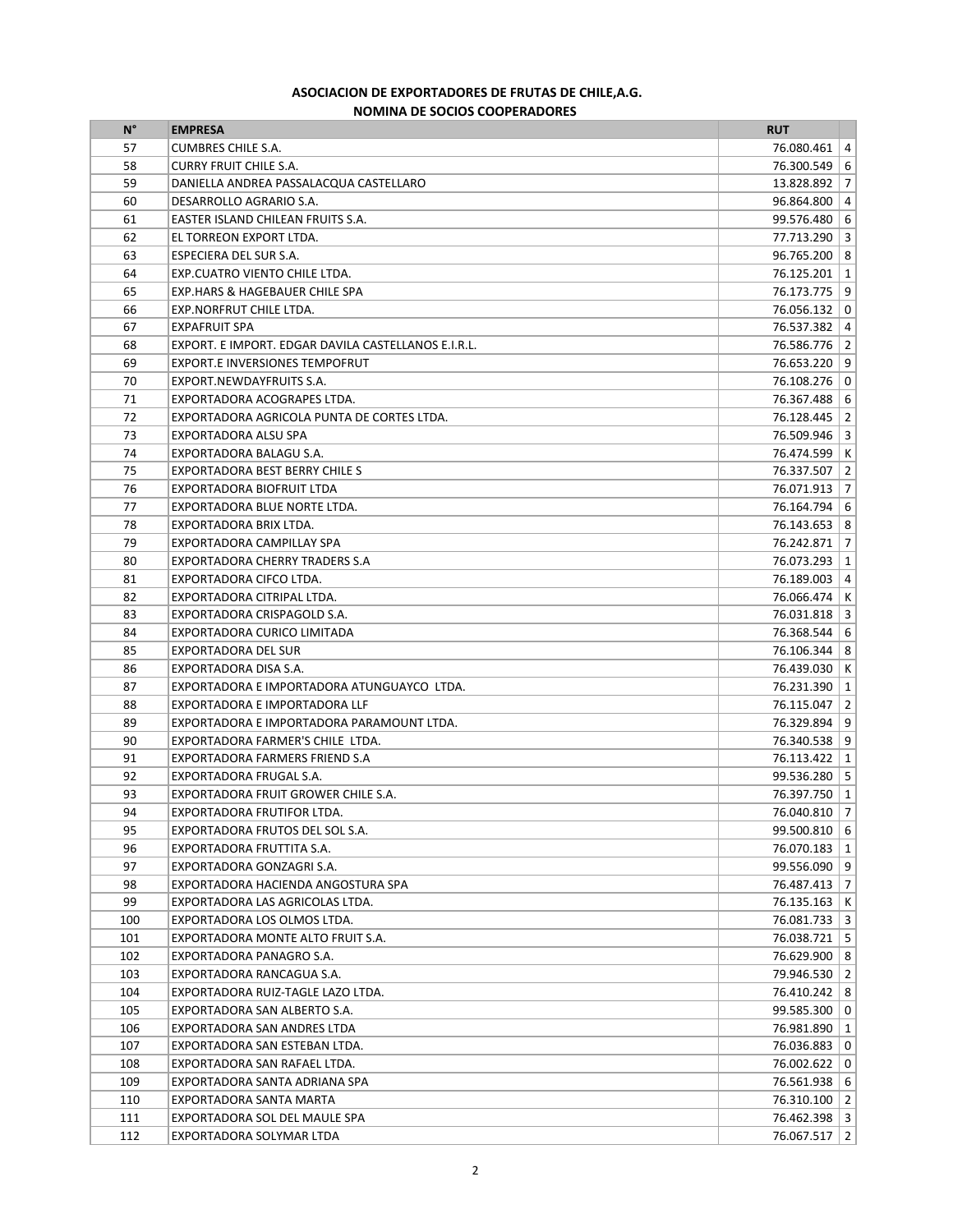## **ASOCIACION DE EXPORTADORES DE FRUTAS DE CHILE, A.G. NOMINA DE SOCIOS COOPERADORES**

| $N^{\circ}$ | <b>EMPRESA</b>                                      | <b>RUT</b>     |  |
|-------------|-----------------------------------------------------|----------------|--|
| 57          | <b>CUMBRES CHILE S.A.</b>                           | 76.080.461   4 |  |
| 58          | <b>CURRY FRUIT CHILE S.A.</b>                       | 76.300.549   6 |  |
| 59          | DANIELLA ANDREA PASSALACQUA CASTELLARO              | 13.828.892 7   |  |
| 60          | DESARROLLO AGRARIO S.A.                             | 96.864.800   4 |  |
| 61          | EASTER ISLAND CHILEAN FRUITS S.A.                   | 99.576.480 6   |  |
| 62          | EL TORREON EXPORT LTDA.                             | 77.713.290 3   |  |
| 63          | ESPECIERA DEL SUR S.A.                              | 96.765.200   8 |  |
| 64          | EXP.CUATRO VIENTO CHILE LTDA.                       | 76.125.201   1 |  |
| 65          | EXP.HARS & HAGEBAUER CHILE SPA                      | 76.173.775   9 |  |
| 66          | EXP.NORFRUT CHILE LTDA.                             | 76.056.132 0   |  |
| 67          | <b>EXPAFRUIT SPA</b>                                | 76.537.382 4   |  |
| 68          | EXPORT. E IMPORT. EDGAR DAVILA CASTELLANOS E.I.R.L. | 76.586.776   2 |  |
| 69          | <b>EXPORT.E INVERSIONES TEMPOFRUT</b>               | 76.653.220   9 |  |
| 70          | EXPORT.NEWDAYFRUITS S.A.                            | 76.108.276   0 |  |
| 71          | EXPORTADORA ACOGRAPES LTDA.                         | 76.367.488 6   |  |
| 72          | EXPORTADORA AGRICOLA PUNTA DE CORTES LTDA.          | 76.128.445   2 |  |
| 73          | EXPORTADORA ALSU SPA                                | 76.509.946   3 |  |
| 74          | EXPORTADORA BALAGU S.A.                             | 76.474.599 K   |  |
| 75          | EXPORTADORA BEST BERRY CHILE S                      | 76.337.507   2 |  |
| 76          | EXPORTADORA BIOFRUIT LTDA                           | 76.071.913 7   |  |
| 77          | EXPORTADORA BLUE NORTE LTDA.                        | 76.164.794 6   |  |
| 78          | EXPORTADORA BRIX LTDA.                              | 76.143.653   8 |  |
| 79          | EXPORTADORA CAMPILLAY SPA                           | 76.242.871 7   |  |
| 80          | <b>EXPORTADORA CHERRY TRADERS S.A</b>               | 76.073.293   1 |  |
| 81          | EXPORTADORA CIFCO LTDA.                             | 76.189.003   4 |  |
| 82          | EXPORTADORA CITRIPAL LTDA.                          | 76.066.474 K   |  |
| 83          | EXPORTADORA CRISPAGOLD S.A.                         | 76.031.818 3   |  |
| 84          | EXPORTADORA CURICO LIMITADA                         | 76.368.544 6   |  |
| 85          | EXPORTADORA DEL SUR                                 | 76.106.344   8 |  |
| 86          | EXPORTADORA DISA S.A.                               | 76.439.030 K   |  |
| 87          | EXPORTADORA E IMPORTADORA ATUNGUAYCO LTDA.          | 76.231.390   1 |  |
| 88          | EXPORTADORA E IMPORTADORA LLF                       | 76.115.047   2 |  |
| 89          | EXPORTADORA E IMPORTADORA PARAMOUNT LTDA.           | 76.329.894   9 |  |
| 90          | EXPORTADORA FARMER'S CHILE LTDA.                    | 76.340.538   9 |  |
| 91          | EXPORTADORA FARMERS FRIEND S.A                      | 76.113.422   1 |  |
| 92          | EXPORTADORA FRUGAL S.A.                             | 99.536.280   5 |  |
| 93          | EXPORTADORA FRUIT GROWER CHILE S.A.                 | 76.397.750   1 |  |
| 94          | EXPORTADORA FRUTIFOR LTDA.                          | 76.040.810 7   |  |
| 95          | EXPORTADORA FRUTOS DEL SOL S.A.                     | 99.500.810 6   |  |
| 96          | EXPORTADORA FRUTTITA S.A.                           | 76.070.183   1 |  |
| 97          | EXPORTADORA GONZAGRI S.A.                           | 99.556.090   9 |  |
| 98          | EXPORTADORA HACIENDA ANGOSTURA SPA                  | 76.487.413 7   |  |
| 99          | EXPORTADORA LAS AGRICOLAS LTDA.                     | 76.135.163   K |  |
| 100         | EXPORTADORA LOS OLMOS LTDA.                         | 76.081.733 3   |  |
| 101         | EXPORTADORA MONTE ALTO FRUIT S.A.                   | 76.038.721   5 |  |
| 102         | EXPORTADORA PANAGRO S.A.                            | 76.629.900   8 |  |
| 103         | EXPORTADORA RANCAGUA S.A.                           | 79.946.530 2   |  |
| 104         | EXPORTADORA RUIZ-TAGLE LAZO LTDA.                   | 76.410.242   8 |  |
| 105         | EXPORTADORA SAN ALBERTO S.A.                        | 99.585.300 0   |  |
| 106         | EXPORTADORA SAN ANDRES LTDA                         | 76.981.890   1 |  |
| 107         | EXPORTADORA SAN ESTEBAN LTDA.                       | 76.036.883   0 |  |
| 108         | EXPORTADORA SAN RAFAEL LTDA.                        | 76.002.622 0   |  |
| 109         | EXPORTADORA SANTA ADRIANA SPA                       | 76.561.938 6   |  |
| 110         | EXPORTADORA SANTA MARTA                             | 76.310.100   2 |  |
| 111         | EXPORTADORA SOL DEL MAULE SPA                       | 76.462.398 3   |  |
| 112         | EXPORTADORA SOLYMAR LTDA                            | 76.067.517   2 |  |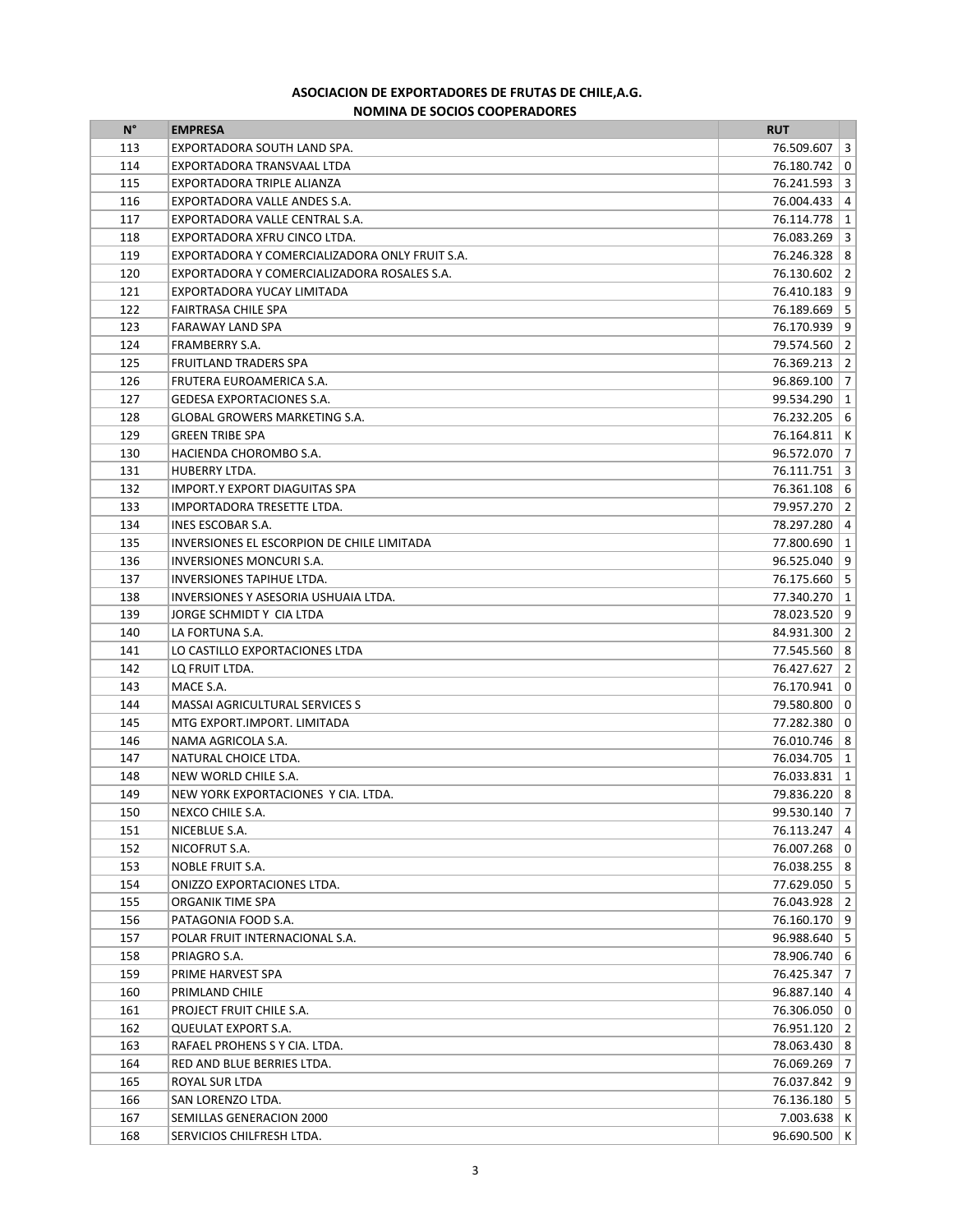## **NOMINA DE SOCIOS COOPERADORES ASOCIACION DE EXPORTADORES DE FRUTAS DE CHILE, A.G.**

| $N^{\circ}$ | <b>EMPRESA</b>                                 | <b>RUT</b>          |  |
|-------------|------------------------------------------------|---------------------|--|
| 113         | EXPORTADORA SOUTH LAND SPA.                    | 76.509.607 3        |  |
| 114         | EXPORTADORA TRANSVAAL LTDA                     | 76.180.742 0        |  |
| 115         | EXPORTADORA TRIPLE ALIANZA                     | 76.241.593 3        |  |
| 116         | EXPORTADORA VALLE ANDES S.A.                   | 76.004.433   4      |  |
| 117         | EXPORTADORA VALLE CENTRAL S.A.                 | 76.114.778   1      |  |
| 118         | EXPORTADORA XFRU CINCO LTDA.                   | $76.083.269$   3    |  |
| 119         | EXPORTADORA Y COMERCIALIZADORA ONLY FRUIT S.A. | 76.246.328   8      |  |
| 120         | EXPORTADORA Y COMERCIALIZADORA ROSALES S.A.    | 76.130.602   2      |  |
| 121         | EXPORTADORA YUCAY LIMITADA                     | 76.410.183   9      |  |
| 122         | FAIRTRASA CHILE SPA                            | 76.189.669   5      |  |
| 123         | FARAWAY LAND SPA                               | 76.170.939   9      |  |
| 124         | FRAMBERRY S.A.                                 | 79.574.560 2        |  |
| 125         | <b>FRUITLAND TRADERS SPA</b>                   | 76.369.213   2      |  |
| 126         | FRUTERA EUROAMERICA S.A.                       | $96.869.100$   7    |  |
| 127         | <b>GEDESA EXPORTACIONES S.A.</b>               | 99.534.290   1      |  |
| 128         | <b>GLOBAL GROWERS MARKETING S.A.</b>           | 76.232.205 6        |  |
| 129         | <b>GREEN TRIBE SPA</b>                         | 76.164.811   K      |  |
| 130         | HACIENDA CHOROMBO S.A.                         | 96.572.070 7        |  |
| 131         | HUBERRY LTDA.                                  | $76.111.751$ 3      |  |
| 132         | <b>IMPORT.Y EXPORT DIAGUITAS SPA</b>           | 76.361.108 6        |  |
| 133         | IMPORTADORA TRESETTE LTDA.                     | 79.957.270 2        |  |
| 134         | INES ESCOBAR S.A.                              | 78.297.280 4        |  |
| 135         | INVERSIONES EL ESCORPION DE CHILE LIMITADA     | 77.800.690   1      |  |
| 136         | <b>INVERSIONES MONCURI S.A.</b>                | 96.525.040   9      |  |
| 137         | INVERSIONES TAPIHUE LTDA.                      | 76.175.660 5        |  |
| 138         | INVERSIONES Y ASESORIA USHUAIA LTDA.           | 77.340.270   1      |  |
| 139         | JORGE SCHMIDT Y CIA LTDA                       | 78.023.520   9      |  |
| 140         | LA FORTUNA S.A.                                | 84.931.300   2      |  |
| 141         | LO CASTILLO EXPORTACIONES LTDA                 | 77.545.560   8      |  |
| 142         | LQ FRUIT LTDA.                                 | 76.427.627 2        |  |
| 143         | MACE S.A.                                      | 76.170.941   0      |  |
| 144         | <b>MASSAI AGRICULTURAL SERVICES S</b>          | 79.580.800   0      |  |
| 145         | MTG EXPORT.IMPORT. LIMITADA                    | 77.282.380 0        |  |
| 146         | NAMA AGRICOLA S.A.                             | 76.010.746   8      |  |
| 147         | NATURAL CHOICE LTDA.                           | 76.034.705   1      |  |
| 148         | NEW WORLD CHILE S.A.                           | 76.033.831   1      |  |
| 149         | NEW YORK EXPORTACIONES Y CIA. LTDA.            | 79.836.220   8      |  |
| 150         | NEXCO CHILE S.A.                               | 99.530.140 7        |  |
| 151         | NICEBLUE S.A.                                  | 76.113.247 4        |  |
| 152         | NICOFRUT S.A.                                  | 76.007.268 0        |  |
| 153         | <b>NOBLE FRUIT S.A.</b>                        | 76.038.255   8      |  |
| 154         | ONIZZO EXPORTACIONES LTDA.                     | 77.629.050   5      |  |
| 155         | ORGANIK TIME SPA                               | 76.043.928 2        |  |
| 156         | PATAGONIA FOOD S.A.                            | 76.160.170   9      |  |
| 157         | POLAR FRUIT INTERNACIONAL S.A.                 | $96.988.640$ 5      |  |
| 158         | PRIAGRO S.A.                                   | 78.906.740 6        |  |
| 159         | PRIME HARVEST SPA                              | 76.425.347 7        |  |
| 160         | PRIMLAND CHILE                                 | $96.887.140 \mid 4$ |  |
| 161         | PROJECT FRUIT CHILE S.A.                       | 76.306.050 0        |  |
| 162         | QUEULAT EXPORT S.A.                            | 76.951.120   2      |  |
| 163         | RAFAEL PROHENS S Y CIA. LTDA.                  | 78.063.430   8      |  |
| 164         | RED AND BLUE BERRIES LTDA.                     | 76.069.269 7        |  |
| 165         | ROYAL SUR LTDA                                 | 76.037.842 9        |  |
| 166         | SAN LORENZO LTDA.                              | 76.136.180   5      |  |
| 167         | SEMILLAS GENERACION 2000                       | $7.003.638$   K     |  |
| 168         | SERVICIOS CHILFRESH LTDA.                      | 96.690.500   K      |  |